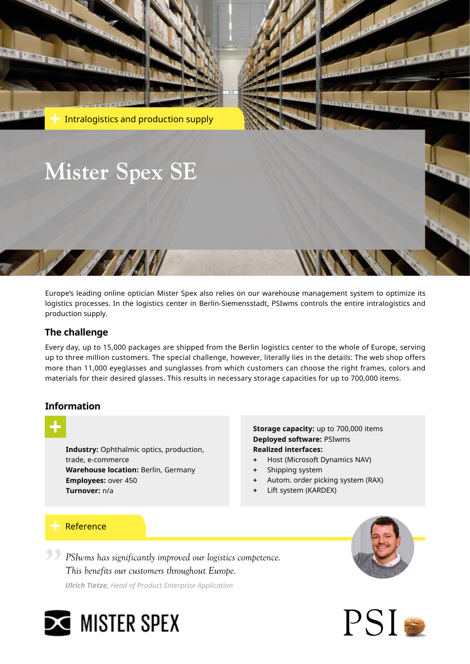

Europe's leading online optician Mister Spex also relies on our warehouse management system to optimize its logistics processes. In the logistics center in Berlin-Siemensstadt, PSIwms controls the entire intralogistics and production supply.

## **The challenge**

Every day, up to 15,000 packages are shipped from the Berlin logistics center to the whole of Europe, serving up to three million customers. The special challenge, however, literally lies in the details: The web shop offers more than 11,000 eyeglasses and sunglasses from which customers can choose the right frames, colors and materials for their desired glasses. This results in necessary storage capacities for up to 700,000 items.

## **Information**



**Industry:** Ophthalmic optics, production, trade, e-commerce **Warehouse location:** Berlin, Germany **Employees:** over 450 **Turnover:** n/a

**Storage capacity:** up to 700,000 items **Deployed software:** PSIwms **Realized interfaces:**

- **+** Host (Microsoft Dynamics NAV)
- **+** Shipping system
- **+** Autom. order picking system (RAX)
- **+** Lift system (KARDEX)

## Reference

*PSIwms has significantly improved our logistics competence. This benefits our customers throughout Europe.* **"**

*Ulrich Tietze, Head of Product Enterprise Application*